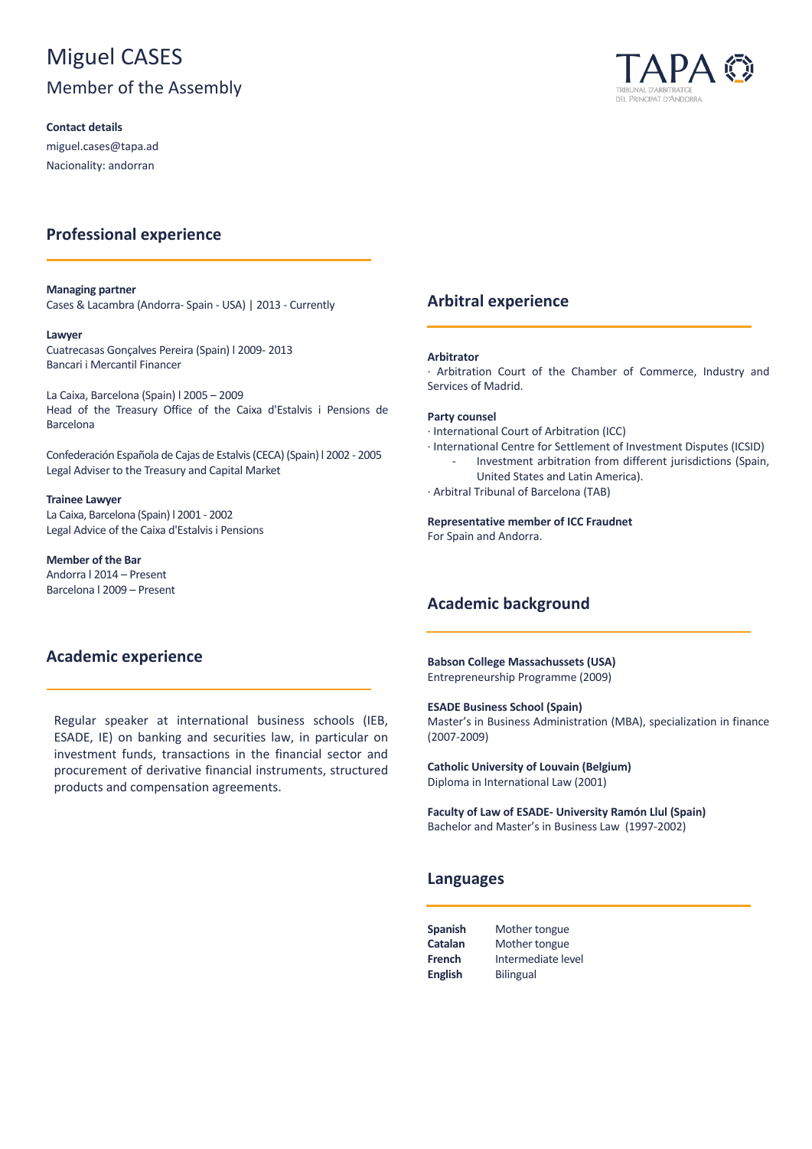# Miguel CASES

## Member of the Assembly

**Contact details**

miguel.cases@tapa.ad Nacionality: andorran

## **Professional experience**

#### **Managing partner**

Cases & Lacambra (Andorra- Spain - USA) | 2013 - Currently

#### **Lawyer**

Cuatrecasas Gonçalves Pereira (Spain) l 2009- 2013 Bancari i Mercantil Financer

La Caixa, Barcelona (Spain) l 2005 – 2009 Head of the Treasury Office of the Caixa d'Estalvis i Pensions de Barcelona

Confederación Española de Cajas de Estalvis (CECA) (Spain) l 2002 - 2005 Legal Adviser to the Treasury and Capital Market

**Trainee Lawyer** La Caixa, Barcelona (Spain) l 2001 - 2002 Legal Advice of the Caixa d'Estalvis i Pensions

**Member of the Bar** Andorra l 2014 – Present Barcelona l 2009 – Present

## **Academic experience**

Regular speaker at international business schools (IEB, ESADE, IE) on banking and securities law, in particular on investment funds, transactions in the financial sector and procurement of derivative financial instruments, structured products and compensation agreements.



### **Arbitral experience**

#### **Arbitrator**

· Arbitration Court of the Chamber of Commerce, Industry and Services of Madrid.

#### **Party counsel**

- · International Court of Arbitration (ICC)
- · International Centre for Settlement of Investment Disputes (ICSID)
	- Investment arbitration from different jurisdictions (Spain, United States and Latin America).
- · Arbitral Tribunal of Barcelona (TAB)

#### **Representative member of ICC Fraudnet**

For Spain and Andorra.

## **Academic background**

**Babson College Massachussets (USA)** Entrepreneurship Programme (2009)

#### **ESADE Business School (Spain)**

Master's in Business Administration (MBA), specialization in finance (2007-2009)

**Catholic University of Louvain (Belgium)** Diploma in International Law (2001)

**Faculty of Law of ESADE- University Ramón Llul (Spain)** Bachelor and Master's in Business Law (1997-2002)

### **Languages**

| <b>Spanish</b> | Mother tongue      |
|----------------|--------------------|
| Catalan        | Mother tongue      |
| <b>French</b>  | Intermediate level |
| <b>English</b> | <b>Bilingual</b>   |